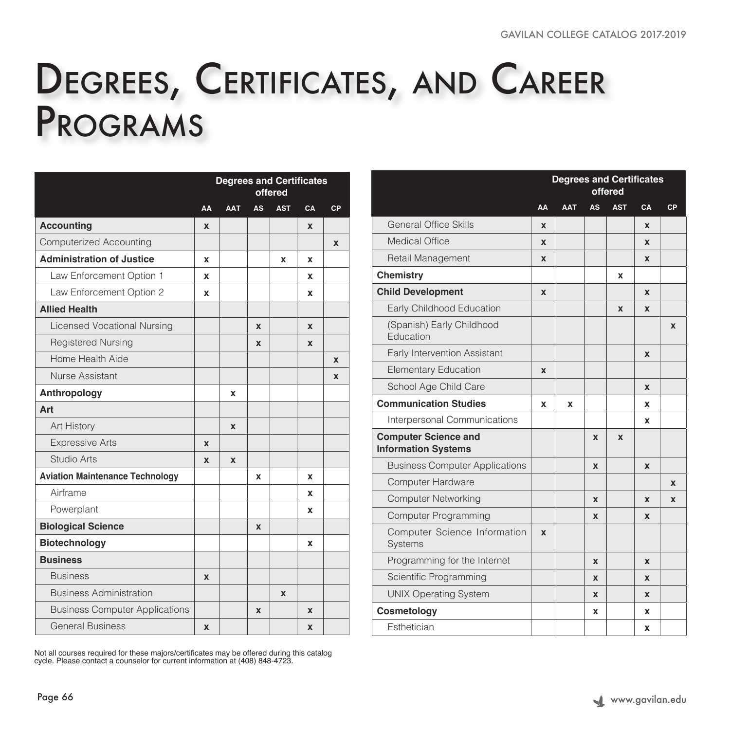## Degrees, Certificates, and Career Programs

|                                        | <b>Degrees and Certificates</b><br>offered |                           |             |                           |                  |             |  |
|----------------------------------------|--------------------------------------------|---------------------------|-------------|---------------------------|------------------|-------------|--|
|                                        | AA                                         | <b>AAT</b>                | <b>AS</b>   | <b>AST</b>                | CA               | CP          |  |
| <b>Accounting</b>                      | X                                          |                           |             |                           | X                |             |  |
| <b>Computerized Accounting</b>         |                                            |                           |             |                           |                  | $\mathbf x$ |  |
| <b>Administration of Justice</b>       | X                                          |                           |             | X                         | x                |             |  |
| Law Enforcement Option 1               | X                                          |                           |             |                           | x                |             |  |
| Law Enforcement Option 2               | X                                          |                           |             |                           | x                |             |  |
| <b>Allied Health</b>                   |                                            |                           |             |                           |                  |             |  |
| <b>Licensed Vocational Nursing</b>     |                                            |                           | X           |                           | $\boldsymbol{x}$ |             |  |
| <b>Registered Nursing</b>              |                                            |                           | X           |                           | X                |             |  |
| Home Health Aide                       |                                            |                           |             |                           |                  | X           |  |
| Nurse Assistant                        |                                            |                           |             |                           |                  | $\mathbf x$ |  |
| Anthropology                           |                                            | X                         |             |                           |                  |             |  |
| Art                                    |                                            |                           |             |                           |                  |             |  |
| Art History                            |                                            | $\mathbf x$               |             |                           |                  |             |  |
| <b>Expressive Arts</b>                 | $\mathbf x$                                |                           |             |                           |                  |             |  |
| <b>Studio Arts</b>                     | $\mathbf x$                                | $\boldsymbol{\mathsf{x}}$ |             |                           |                  |             |  |
| <b>Aviation Maintenance Technology</b> |                                            |                           | x           |                           | X                |             |  |
| Airframe                               |                                            |                           |             |                           | x                |             |  |
| Powerplant                             |                                            |                           |             |                           | X                |             |  |
| <b>Biological Science</b>              |                                            |                           | $\mathbf x$ |                           |                  |             |  |
| Biotechnology                          |                                            |                           |             |                           | x                |             |  |
| <b>Business</b>                        |                                            |                           |             |                           |                  |             |  |
| <b>Business</b>                        | $\mathbf x$                                |                           |             |                           |                  |             |  |
| <b>Business Administration</b>         |                                            |                           |             | $\boldsymbol{\mathsf{x}}$ |                  |             |  |
| <b>Business Computer Applications</b>  |                                            |                           | X           |                           | X                |             |  |
| <b>General Business</b>                | X                                          |                           |             |                           | X                |             |  |

Not all courses required for these majors/certificates may be offered during this catalog cycle. Please contact a counselor for current information at (408) 848-4723.

|                                                           | <b>Degrees and Certificates</b><br>offered |            |                  |             |             |             |
|-----------------------------------------------------------|--------------------------------------------|------------|------------------|-------------|-------------|-------------|
|                                                           | AA                                         | <b>AAT</b> | <b>AS</b>        | <b>AST</b>  | CA          | CP          |
| <b>General Office Skills</b>                              | $\mathbf x$                                |            |                  |             | $\mathbf x$ |             |
| Medical Office                                            | $\mathbf x$                                |            |                  |             | $\mathbf x$ |             |
| Retail Management                                         | $\boldsymbol{\mathsf{x}}$                  |            |                  |             | $\mathbf x$ |             |
| <b>Chemistry</b>                                          |                                            |            |                  | x           |             |             |
| <b>Child Development</b>                                  | $\boldsymbol{x}$                           |            |                  |             | $\mathbf x$ |             |
| Early Childhood Education                                 |                                            |            |                  | $\mathbf x$ | $\mathbf x$ |             |
| (Spanish) Early Childhood<br>Education                    |                                            |            |                  |             |             | $\mathbf x$ |
| Early Intervention Assistant                              |                                            |            |                  |             | $\mathbf x$ |             |
| <b>Elementary Education</b>                               | $\boldsymbol{x}$                           |            |                  |             |             |             |
| School Age Child Care                                     |                                            |            |                  |             | X           |             |
| <b>Communication Studies</b>                              | X                                          | X          |                  |             | x           |             |
| Interpersonal Communications                              |                                            |            |                  |             | X           |             |
| <b>Computer Science and</b><br><b>Information Systems</b> |                                            |            | $\boldsymbol{x}$ | X           |             |             |
| <b>Business Computer Applications</b>                     |                                            |            | $\boldsymbol{x}$ |             | $\mathbf x$ |             |
| <b>Computer Hardware</b>                                  |                                            |            |                  |             |             | $\mathbf x$ |
| <b>Computer Networking</b>                                |                                            |            | $\boldsymbol{x}$ |             | $\mathbf x$ | $\mathbf x$ |
| <b>Computer Programming</b>                               |                                            |            | $\boldsymbol{x}$ |             | $\mathbf x$ |             |
| Computer Science Information<br><b>Systems</b>            | $\mathbf x$                                |            |                  |             |             |             |
| Programming for the Internet                              |                                            |            | $\mathbf x$      |             | $\mathbf x$ |             |
| Scientific Programming                                    |                                            |            | $\boldsymbol{x}$ |             | $\mathbf x$ |             |
| <b>UNIX Operating System</b>                              |                                            |            | $\boldsymbol{x}$ |             | $\mathbf x$ |             |
| Cosmetology                                               |                                            |            | x                |             | x           |             |
| Esthetician                                               |                                            |            |                  |             | x           |             |